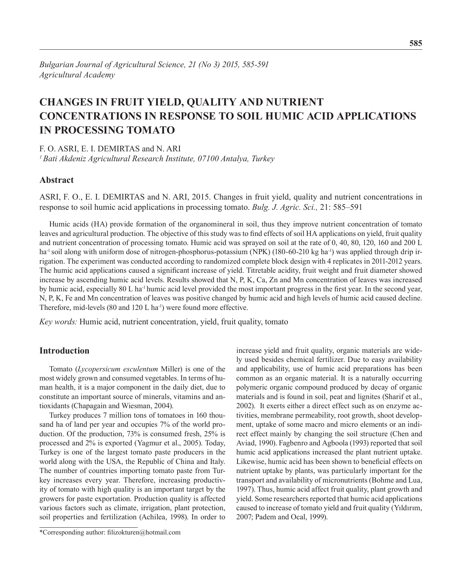# **Changes in Fruit Yield, Quality and Nutrient Concentrations in Response to Soil Humic Acid Applications in Processing Tomato**

F. O. ASRI, E. I. DEMIRTAS and N. ARI

*1 Bati Akdeniz Agricultural Research Institute, 07100 Antalya, Turkey*

## **Abstract**

ASRI, F. O., E. I. DEMIRTAS and N. ARI, 2015. Changes in fruit yield, quality and nutrient concentrations in response to soil humic acid applications in processing tomato. *Bulg. J. Agric. Sci.,* 21: 585–591

Humic acids (HA) provide formation of the organomineral in soil, thus they improve nutrient concentration of tomato leaves and agricultural production. The objective of this study was to find effects of soil HA applications on yield, fruit quality and nutrient concentration of processing tomato. Humic acid was sprayed on soil at the rate of 0, 40, 80, 120, 160 and 200 L ha<sup>-1</sup> soil along with uniform dose of nitrogen-phosphorus-potassium (NPK) (180-60-210 kg ha<sup>-1</sup>) was applied through drip irrigation. The experiment was conducted according to randomized complete block design with 4 replicates in 2011-2012 years. The humic acid applications caused a significant increase of yield. Titretable acidity, fruit weight and fruit diameter showed increase by ascending humic acid levels. Results showed that N, P, K, Ca, Zn and Mn concentration of leaves was increased by humic acid, especially 80 L ha<sup>-1</sup> humic acid level provided the most important progress in the first year. In the second year, N, P, K, Fe and Mn concentration of leaves was positive changed by humic acid and high levels of humic acid caused decline. Therefore, mid-levels (80 and  $120$  L ha<sup>-1</sup>) were found more effective.

*Key words:* Humic acid, nutrient concentration, yield, fruit quality, tomato

### **Introduction**

Tomato (*Lycopersicum esculentum* Miller) is one of the most widely grown and consumed vegetables. In terms of human health, it is a major component in the daily diet, due to constitute an important source of minerals, vitamins and antioxidants (Chapagain and Wiesman, 2004).

Turkey produces 7 million tons of tomatoes in 160 thousand ha of land per year and occupies 7% of the world production. Of the production, 73% is consumed fresh, 25% is processed and 2% is exported (Yagmur et al., 2005). Today, Turkey is one of the largest tomato paste producers in the world along with the USA, the Republic of China and Italy. The number of countries importing tomato paste from Turkey increases every year. Therefore, increasing productivity of tomato with high quality is an important target by the growers for paste exportation. Production quality is affected various factors such as climate, irrigation, plant protection, soil properties and fertilization (Achilea, 1998). In order to

\*Corresponding author: filizokturen@hotmail.com

increase yield and fruit quality, organic materials are widely used besides chemical fertilizer. Due to easy availability and applicability, use of humic acid preparations has been common as an organic material. It is a naturally occurring polymeric organic compound produced by decay of organic materials and is found in soil, peat and lignites (Sharif et al., 2002). It exerts either a direct effect such as on enzyme activities, membrane permeability, root growth, shoot development, uptake of some macro and micro elements or an indirect effect mainly by changing the soil structure (Chen and Aviad, 1990). Fagbenro and Agboola (1993) reported that soil humic acid applications increased the plant nutrient uptake. Likewise, humic acid has been shown to beneficial effects on nutrient uptake by plants, was particularly important for the transport and availability of micronutrients (Bohme and Lua, 1997). Thus, humic acid affect fruit quality, plant growth and yield. Some researchers reported that humic acid applications caused to increase of tomato yield and fruit quality (Yıldırım, 2007; Padem and Ocal, 1999).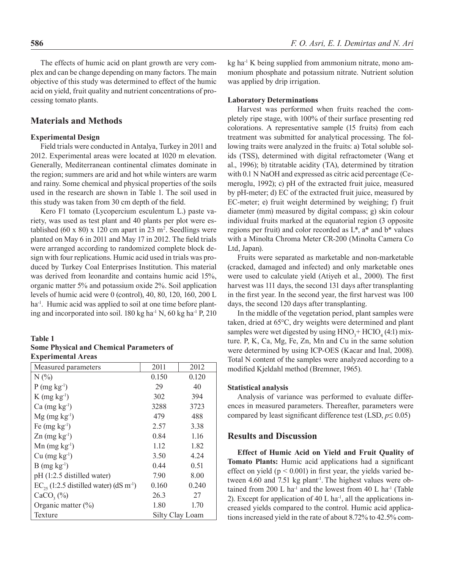The effects of humic acid on plant growth are very complex and can be change depending on many factors. The main objective of this study was determined to effect of the humic acid on yield, fruit quality and nutrient concentrations of processing tomato plants.

#### **Materials and Methods**

#### **Experimental Design**

Field trials were conducted in Antalya, Turkey in 2011 and 2012. Experimental areas were located at 1020 m elevation. Generally, Mediterranean continental climates dominate in the region; summers are arid and hot while winters are warm and rainy. Some chemical and physical properties of the soils used in the research are shown in Table 1. The soil used in this study was taken from 30 cm depth of the field.

Kero F1 tomato (Lycopercium esculentum L.) paste variety, was used as test plant and 40 plants per plot were established  $(60 \times 80) \times 120$  cm apart in 23 m<sup>2</sup>. Seedlings were planted on May 6 in 2011 and May 17 in 2012. The field trials were arranged according to randomized complete block design with four replications. Humic acid used in trials was produced by Turkey Coal Enterprises Institution. This material was derived from leonardite and contains humic acid 15%, organic matter 5% and potassium oxide 2%. Soil application levels of humic acid were 0 (control), 40, 80, 120, 160, 200 L ha<sup>-1</sup>. Humic acid was applied to soil at one time before planting and incorporated into soil.  $180 \text{ kg}$  ha<sup>-1</sup> N,  $60 \text{ kg}$  ha<sup>-1</sup> P,  $210$ 

#### **Table 1 Some Physical and Chemical Parameters of Experimental Areas**

| Measured parameters                                     | 2011            | 2012  |  |  |
|---------------------------------------------------------|-----------------|-------|--|--|
| $N(\%)$                                                 | 0.150           | 0.120 |  |  |
| $P$ (mg kg <sup>-1</sup> )                              | 29              | 40    |  |  |
| $K$ (mg kg <sup>-1</sup> )                              | 302             | 394   |  |  |
| $Ca$ (mg kg <sup>-1</sup> )                             | 3288            | 3723  |  |  |
| $Mg$ (mg kg <sup>-1</sup> )                             | 479             | 488   |  |  |
| Fe $(mg kg-1)$                                          | 2.57            | 3.38  |  |  |
| $\text{Zn}$ (mg kg <sup>-1</sup> )                      | 0.84            | 1.16  |  |  |
| $Mn$ (mg kg <sup>-1</sup> )                             | 1.12            | 1.82  |  |  |
| $Cu$ (mg $kg^{-1}$ )                                    | 3.50            | 4.24  |  |  |
| $B$ (mg kg <sup>-1</sup> )                              | 0.44            | 0.51  |  |  |
| pH (1:2.5 distilled water)                              | 7.90            | 8.00  |  |  |
| $EC_{25}$ (1:2.5 distilled water) (dS m <sup>-1</sup> ) | 0.160           | 0.240 |  |  |
| $CaCO3(\%)$                                             | 26.3            | 27    |  |  |
| Organic matter $(\% )$                                  | 1.80            | 1.70  |  |  |
| Texture                                                 | Silty Clay Loam |       |  |  |

kg ha-1 K being supplied from ammonium nitrate, mono ammonium phosphate and potassium nitrate. Nutrient solution was applied by drip irrigation.

#### **Laboratory Determinations**

Harvest was performed when fruits reached the completely ripe stage, with 100% of their surface presenting red colorations. A representative sample (15 fruits) from each treatment was submitted for analytical processing. The following traits were analyzed in the fruits: a) Total soluble solids (TSS), determined with digital refractometer (Wang et al., 1996); b) titratable acidity (TA), determined by titration with 0.1 N NaOH and expressed as citric acid percentage (Cemeroglu, 1992); c) pH of the extracted fruit juice, measured by pH-meter; d) EC of the extracted fruit juice, measured by EC-meter; e) fruit weight determined by weighing; f) fruit diameter (mm) measured by digital compass; g) skin colour individual fruits marked at the equatorial region (3 opposite regions per fruit) and color recorded as L\*, a\* and b\* values with a Minolta Chroma Meter CR-200 (Minolta Camera Co Ltd, Japan).

Fruits were separated as marketable and non-marketable (cracked, damaged and infected) and only marketable ones were used to calculate yield (Atiyeh et al., 2000). The first harvest was 111 days, the second 131 days after transplanting in the first year. In the second year, the first harvest was 100 days, the second 120 days after transplanting.

In the middle of the vegetation period, plant samples were taken, dried at 65°C, dry weights were determined and plant samples were wet digested by using  $HNO<sub>3</sub><sup>+</sup> HClO<sub>4</sub>(4:1) mix$ ture. P, K, Ca, Mg, Fe, Zn, Mn and Cu in the same solution were determined by using ICP-OES (Kacar and Inal, 2008). Total N content of the samples were analyzed according to a modified Kjeldahl method (Bremner, 1965).

### **Statistical analysis**

Analysis of variance was performed to evaluate differences in measured parameters. Thereafter, parameters were compared by least significant difference test (LSD,  $p \le 0.05$ )

# **Results and Discussion**

**Effect of Humic Acid on Yield and Fruit Quality of Tomato Plants:** Humic acid applications had a significant effect on yield ( $p < 0.001$ ) in first year, the yields varied between 4.60 and 7.51 kg plant<sup>1</sup>. The highest values were obtained from 200 L ha<sup>-1</sup> and the lowest from 40 L ha<sup>-1</sup> (Table 2). Except for application of 40 L ha $^{-1}$ , all the applications increased yields compared to the control. Humic acid applications increased yield in the rate of about 8.72% to 42.5% com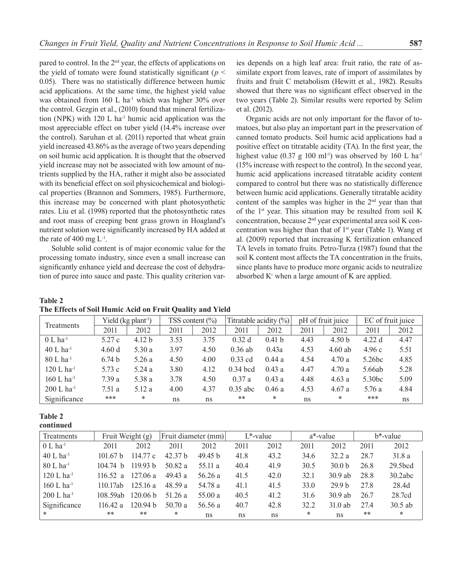pared to control. In the 2<sup>nd</sup> year, the effects of applications on the yield of tomato were found statistically significant ( $p <$ 0.05). There was no statistically difference between humic acid applications. At the same time, the highest yield value was obtained from 160 L ha<sup>-1</sup> which was higher  $30\%$  over the control. Gezgin et al., (2010) found that mineral fertilization (NPK) with  $120 \text{ L}$  ha<sup>-1</sup> humic acid application was the most appreciable effect on tuber yield (14.4% increase over the control). Saruhan et al. (2011) reported that wheat grain yield increased 43.86% as the average of two years depending on soil humic acid application. It is thought that the observed yield increase may not be associated with low amount of nutrients supplied by the HA, rather it might also be associated with its beneficial effect on soil physicochemical and biological properties (Brannon and Sommers, 1985). Furthermore, this increase may be concerned with plant photosynthetic rates. Liu et al. (1998) reported that the photosynthetic rates and root mass of creeping bent grass grown in Hoagland's nutrient solution were significantly increased by HA added at the rate of 400 mg  $L^{-1}$ .

 Soluble solid content is of major economic value for the processing tomato industry, since even a small increase can significantly enhance yield and decrease the cost of dehydration of puree into sauce and paste. This quality criterion varies depends on a high leaf area: fruit ratio, the rate of assimilate export from leaves, rate of import of assimilates by fruits and fruit C metabolism (Hewitt et al., 1982). Results showed that there was no significant effect observed in the two years (Table 2). Similar results were reported by Selim et al. (2012).

Organic acids are not only important for the flavor of tomatoes, but also play an important part in the preservation of canned tomato products. Soil humic acid applications had a positive effect on titratable acidity (TA). In the first year, the highest value (0.37 g 100 ml<sup>-1</sup>) was observed by 160 L ha<sup>-1</sup> (15% increase with respect to the control). In the second year, humic acid applications increased titratable acidity content compared to control but there was no statistically difference between humic acid applications. Generally titratable acidity content of the samples was higher in the  $2<sup>nd</sup>$  year than that of the 1st year. This situation may be resulted from soil K concentration, because 2nd year experimental area soil K concentration was higher than that of 1<sup>st</sup> year (Table 1). Wang et al. (2009) reported that increasing K fertilization enhanced TA levels in tomato fruits. Petro-Turza (1987) found that the soil K content most affects the TA concentration in the fruits, since plants have to produce more organic acids to neutralize absorbed  $K^+$  when a large amount of K are applied.

### **Table 2 The Effects of Soil Humic Acid on Fruit Quality and Yield**

| Treatments               | Yield $(kg$ plant <sup>1</sup> ) |                   | TSS content $\left(\frac{9}{0}\right)$ |      | Titratable acidity (%) |                   | pH of fruit juice |                   | EC of fruit juice  |      |
|--------------------------|----------------------------------|-------------------|----------------------------------------|------|------------------------|-------------------|-------------------|-------------------|--------------------|------|
|                          | 2011                             | 2012              | 2011                                   | 2012 | 2011                   | 2012              | 2011              | 2012              | 2011               | 2012 |
| $0 L$ ha <sup>-1</sup>   | 5.27c                            | 4.12 <sub>b</sub> | 3.53                                   | 3.75 | 0.32d                  | 0.41 <sub>b</sub> | 4.43              | 4.50 <sub>b</sub> | 4.22d              | 4.47 |
| $40 L$ ha <sup>-1</sup>  | 4.60d                            | 5.30a             | 3.97                                   | 4.50 | $0.36$ ab              | 0.43a             | 4.53              | $4.60$ ab         | 4.96c              | 5.51 |
| $80 L$ ha <sup>-1</sup>  | 6.74 <sub>b</sub>                | 5.26 a            | 4.50                                   | 4.00 | $0.33$ cd              | 0.44a             | 4.54              | 4.70a             | 5.26 <sub>bc</sub> | 4.85 |
| $120 L$ ha <sup>-1</sup> | 5.73 c                           | 5.24 a            | 3.80                                   | 4.12 | $0.34$ bcd             | 0.43a             | 4.47              | 4.70a             | 5.66ab             | 5.28 |
| $160 L$ ha <sup>-1</sup> | 7.39a                            | 5.38 a            | 3.78                                   | 4.50 | 0.37a                  | 0.43a             | 4.48              | 4.63a             | 5.30 <sub>bc</sub> | 5.09 |
| $200 L$ ha <sup>-1</sup> | 7.51 a                           | 5.12 a            | 4.00                                   | 4.37 | $0.35$ abc             | 0.46a             | 4.53              | 4.67a             | 5.76 a             | 4.84 |
| Significance             | ***                              | *                 | ns                                     | ns   | **                     | $\ast$            | ns                | *                 | ***                | ns   |

### **Table 2**

**continued**

| Treatments               | Fruit Weight (g) |                     | Fruit diameter (mm) |                    | $L^*$ -value |      | a*-value |                   | b*-value |           |
|--------------------------|------------------|---------------------|---------------------|--------------------|--------------|------|----------|-------------------|----------|-----------|
| $0 L$ ha $^{-1}$         | 2011             | 2012                | 2011                | 2012               | 2011         | 2012 | 2011     | 2012              | 2011     | 2012      |
| $40 L$ ha <sup>-1</sup>  | 10167 h          | 114.77 c            | 42.37 h             | 49.45 <sub>b</sub> | 41.8         | 43.2 | 34.6     | 32.2a             | 28.7     | 31.8a     |
| $80 L$ ha <sup>-1</sup>  | 104.74 h         | 119.93 <sub>b</sub> | 50.82 a             | 55.11 a            | 40.4         | 41.9 | 30.5     | 30.0 <sub>b</sub> | 26.8     | 29.5bcd   |
| $120 L$ ha <sup>-1</sup> | 116.52 a         | 127.06a             | 49.43a              | 56.26a             | 41.5         | 42.0 | 32.1     | $30.9$ ab         | 28.8     | 30.2abc   |
| 160 L ha $^{-1}$         | 110.17ab         | 125.16a             | 48.59a              | 54.78 a            | 41.1         | 41.5 | 33.0     | 29.9 <sub>b</sub> | 27.8     | 28.4d     |
| $200$ L ha <sup>-1</sup> | 108.59ab         | 120.06 <sub>b</sub> | 51.26a              | 55.00a             | 40.5         | 41.2 | 31.6     | $30.9$ ab         | 26.7     | 28.7cd    |
| Significance             | 116.42 a         | 120.94 h            | 50.70a              | 56.56 a            | 40.7         | 42.8 | 32.2     | $31.0$ ab         | 27.4     | $30.5$ ab |
| $\ast$                   | **               | $**$                | *                   | ns                 | ns           | ns   | *        | ns                | **       | *         |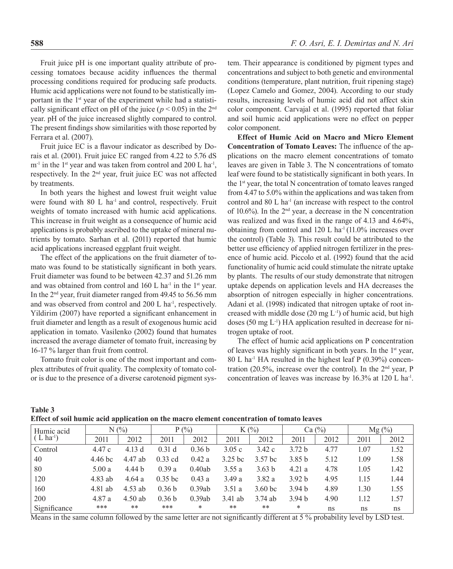Fruit juice pH is one important quality attribute of processing tomatoes because acidity influences the thermal processing conditions required for producing safe products. Humic acid applications were not found to be statistically important in the 1<sup>st</sup> year of the experiment while had a statistically significant effect on pH of the juice ( $p < 0.05$ ) in the 2<sup>nd</sup> year. pH of the juice increased slightly compared to control. The present findings show similarities with those reported by Ferrara et al. (2007).

Fruit juice EC is a flavour indicator as described by Dorais et al. (2001). Fruit juice EC ranged from 4.22 to 5.76 dS  $m^{-1}$  in the 1<sup>st</sup> year and was taken from control and 200 L ha<sup>-1</sup>, respectively. In the 2nd year, fruit juice EC was not affected by treatments.

In both years the highest and lowest fruit weight value were found with  $80$  L ha<sup>-1</sup> and control, respectively. Fruit weights of tomato increased with humic acid applications. This increase in fruit weight as a consequence of humic acid applications is probably ascribed to the uptake of mineral nutrients by tomato. Sarhan et al. (2011) reported that humic acid applications increased eggplant fruit weight.

The effect of the applications on the fruit diameter of tomato was found to be statistically significant in both years. Fruit diameter was found to be between 42.37 and 51.26 mm and was obtained from control and  $160$  L ha<sup>-1</sup> in the 1<sup>st</sup> year. In the 2nd year, fruit diameter ranged from 49.45 to 56.56 mm and was observed from control and  $200$  L ha<sup>-1</sup>, respectively. Yildirim (2007) have reported a significant enhancement in fruit diameter and length as a result of exogenous humic acid application in tomato. Vasilenko (2002) found that humates increased the average diameter of tomato fruit, increasing by 16-17 % larger than fruit from control.

Tomato fruit color is one of the most important and complex attributes of fruit quality. The complexity of tomato color is due to the presence of a diverse carotenoid pigment system. Their appearance is conditioned by pigment types and concentrations and subject to both genetic and environmental conditions (temperature, plant nutrition, fruit ripening stage) (Lopez Camelo and Gomez, 2004). According to our study results, increasing levels of humic acid did not affect skin color component. Carvajal et al. (1995) reported that foliar and soil humic acid applications were no effect on pepper color component.

**Effect of Humic Acid on Macro and Micro Element Concentration of Tomato Leaves:** The influence of the applications on the macro element concentrations of tomato leaves are given in Table 3. The N concentrations of tomato leaf were found to be statistically significant in both years. In the 1st year, the total N concentration of tomato leaves ranged from 4.47 to 5.0% within the applications and was taken from control and 80 L ha<sup>-1</sup> (an increase with respect to the control of 10.6%). In the 2<sup>nd</sup> year, a decrease in the N concentration was realized and was fixed in the range of 4.13 and 4.64%, obtaining from control and  $120$  L ha<sup>-1</sup> (11.0% increases over the control) (Table 3). This result could be attributed to the better use efficiency of applied nitrogen fertilizer in the presence of humic acid. Piccolo et al. (1992) found that the acid functionality of humic acid could stimulate the nitrate uptake by plants. The results of our study demonstrate that nitrogen uptake depends on application levels and HA decreases the absorption of nitrogen especially in higher concentrations. Adani et al. (1998) indicated that nitrogen uptake of root increased with middle dose  $(20 \text{ mg L}^{-1})$  of humic acid, but high doses (50 mg  $L^{-1}$ ) HA application resulted in decrease for nitrogen uptake of root.

The effect of humic acid applications on P concentration of leaves was highly significant in both years. In the 1st year,  $80$  L ha<sup>-1</sup> HA resulted in the highest leaf P (0.39%) concentration (20.5%, increase over the control). In the  $2<sup>nd</sup>$  year, P concentration of leaves was increase by 16.3% at 120 L ha<sup>-1</sup>.

| Table 3 |                                                                                           |
|---------|-------------------------------------------------------------------------------------------|
|         | Effect of soil humic acid application on the macro element concentration of tomato leaves |

| Humic acid<br>$(L \text{ ha}^{-1})$ | $N(\%)$ |           | $P(\%)$           |                   | $K(\%)$   |                    | Ca $\left(\frac{9}{0}\right)$ |      | $Mg(\%)$ |      |
|-------------------------------------|---------|-----------|-------------------|-------------------|-----------|--------------------|-------------------------------|------|----------|------|
|                                     | 2011    | 2012      | 2011              | 2012              | 2011      | 2012               | 2011                          | 2012 | 2011     | 2012 |
| Control                             | 4.47c   | 4.13d     | 0.31 <sub>d</sub> | 0.36 <sub>b</sub> | 3.05c     | 3.42c              | 3.72 <sub>b</sub>             | 4.77 | 1.07     | 1.52 |
| $\mid 40$                           | 4.46 bc | 4.47 ab   | $0.33$ cd         | 0.42a             | 3.25 bc   | 3.57 <sub>bc</sub> | 3.85 <sub>b</sub>             | 5.12 | 1.09     | 1.58 |
| 80                                  | 5.00a   | 4.44 b    | 0.39a             | 0.40ab            | 3.55a     | 3.63 <sub>b</sub>  | 4.21a                         | 4.78 | 1.05     | 1.42 |
| 120                                 | 4.83 ab | 4.64 a    | $0.35$ bc         | 0.43a             | 3.49a     | 3.82a              | 3.92 <sub>b</sub>             | 4.95 | 1.15     | 1.44 |
| 160                                 | 4.81 ab | $4.53$ ab | 0.36 <sub>b</sub> | 0.39ab            | 3.51a     | $3.60$ bc          | 3.94 <sub>b</sub>             | 4.89 | 1.30     | 1.55 |
| 200                                 | 4.87 a  | $4.50$ ab | 0.36 <sub>b</sub> | 0.39ab            | $3.41$ ab | $3.74$ ab          | 3.94 <sub>b</sub>             | 4.90 | 1.12     | 1.57 |
| Significance                        | ***     | **        | ***               | *                 | **        | **                 | *                             | ns   | ns       | ns   |

Means in the same column followed by the same letter are not significantly different at 5 % probability level by LSD test.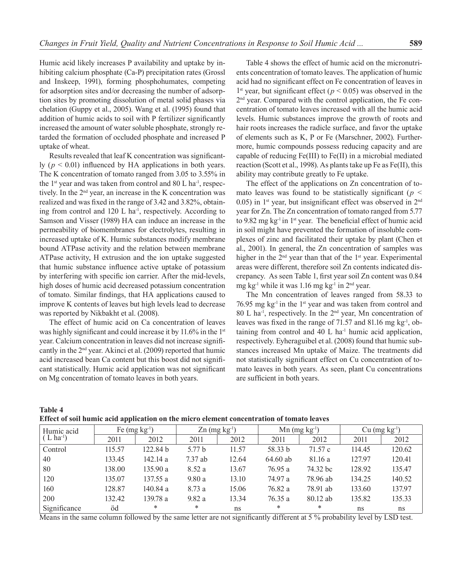Humic acid likely increases P availability and uptake by inhibiting calcium phosphate (Ca-P) precipitation rates (Grossl and Inskeep, 1991), forming phosphohumates, competing for adsorption sites and/or decreasing the number of adsorption sites by promoting dissolution of metal solid phases via chelation (Guppy et al., 2005). Wang et al. (1995) found that addition of humic acids to soil with P fertilizer significantly increased the amount of water soluble phosphate, strongly retarded the formation of occluded phosphate and increased P uptake of wheat.

Results revealed that leaf K concentration was significantly ( $p < 0.01$ ) influenced by HA applications in both years. The K concentration of tomato ranged from 3.05 to 3.55% in the  $1<sup>st</sup>$  year and was taken from control and 80 L ha<sup>-1</sup>, respectively. In the 2nd year, an increase in the K concentration was realized and was fixed in the range of 3.42 and 3.82%, obtaining from control and 120 L ha<sup>-1</sup>, respectively. According to Samson and Visser (1989) HA can induce an increase in the permeability of biomembranes for electrolytes, resulting in increased uptake of K. Humic substances modify membrane bound ATPase activity and the relation between membrane ATPase activity, H extrusion and the ion uptake suggested that humic substance influence active uptake of potassium by interfering with specific ion carrier. After the mid-levels, high doses of humic acid decreased potassium concentration of tomato. Similar findings, that HA applications caused to improve K contents of leaves but high levels lead to decrease was reported by Nikbakht et al. (2008).

The effect of humic acid on Ca concentration of leaves was highly significant and could increase it by 11.6% in the 1<sup>st</sup> year. Calcium concentration in leaves did not increase significantly in the 2nd year. Akinci et al. (2009) reported that humic acid increased bean Ca content but this boost did not significant statistically. Humic acid application was not significant on Mg concentration of tomato leaves in both years.

Table 4 shows the effect of humic acid on the micronutrients concentration of tomato leaves. The application of humic acid had no significant effect on Fe concentration of leaves in 1<sup>st</sup> year, but significant effect ( $p < 0.05$ ) was observed in the 2<sup>nd</sup> year. Compared with the control application, the Fe concentration of tomato leaves increased with all the humic acid levels. Humic substances improve the growth of roots and hair roots increases the radicle surface, and favor the uptake of elements such as K, P or Fe (Marschner, 2002). Furthermore, humic compounds possess reducing capacity and are capable of reducing Fe(III) to Fe(II) in a microbial mediated reaction (Scott et al., 1998). As plants take up Fe as Fe(II), this ability may contribute greatly to Fe uptake.

The effect of the applications on Zn concentration of tomato leaves was found to be statistically significant (*p <* 0.05) in  $1<sup>st</sup>$  year, but insignificant effect was observed in  $2<sup>nd</sup>$ year for Zn. The Zn concentration of tomato ranged from 5.77 to 9.82 mg kg<sup>-1</sup> in  $1<sup>st</sup>$  year. The beneficial effect of humic acid in soil might have prevented the formation of insoluble complexes of zinc and facilitated their uptake by plant (Chen et al., 2001). In general, the Zn concentration of samples was higher in the 2<sup>nd</sup> year than that of the 1<sup>st</sup> year. Experimental areas were different, therefore soil Zn contents indicated discrepancy. As seen Table 1, first year soil Zn content was 0.84 mg kg<sup>-1</sup> while it was 1.16 mg kg<sup>-1</sup> in  $2<sup>nd</sup>$  year.

The Mn concentration of leaves ranged from 58.33 to 76.95 mg  $kg<sup>-1</sup>$  in the 1<sup>st</sup> year and was taken from control and 80 L ha<sup>-1</sup>, respectively. In the  $2<sup>nd</sup>$  year, Mn concentration of leaves was fixed in the range of 71.57 and 81.16 mg kg-1, obtaining from control and  $40 \,$ L ha<sup>-1</sup> humic acid application, respectively. Eyheraguibel et al. (2008) found that humic substances increased Mn uptake of Maize. The treatments did not statistically significant effect on Cu concentration of tomato leaves in both years. As seen, plant Cu concentrations are sufficient in both years.

# **Table 4**

| Effect of soil humic acid application on the micro element concentration of tomato leaves |  |  |  |
|-------------------------------------------------------------------------------------------|--|--|--|
|-------------------------------------------------------------------------------------------|--|--|--|

| Humic acid<br>$(L \text{ ha}^{-1})$ | Fe $(mg kg-1)$ |          | $\text{Zn}$ (mg kg <sup>-1</sup> ) |       | $Mn$ (mg kg <sup>-1</sup> ) |          | $Cu$ (mg $kg^{-1}$ ) |        |
|-------------------------------------|----------------|----------|------------------------------------|-------|-----------------------------|----------|----------------------|--------|
|                                     | 2011           | 2012     | 2011                               | 2012  | 2011                        | 2012     | 2011                 | 2012   |
| Control                             | 115.57         | 122.84 b | 5.77 b                             | 11.57 | 58.33 b                     | 71.57 c  | 114.45               | 120.62 |
| 40                                  | 133.45         | 142.14 a | $7.37$ ab                          | 12.64 | 64.60 ab                    | 81.16 a  | 127.97               | 120.41 |
| 80                                  | 138.00         | 135.90 a | 8.52 a                             | 13.67 | 76.95 a                     | 74.32 bc | 128.92               | 135.47 |
| 120                                 | 135.07         | 137.55 a | 9.80a                              | 13.10 | 74.97 a                     | 78.96 ab | 134.25               | 140.52 |
| 160                                 | 128.87         | 140.84 a | 8.73a                              | 15.06 | 76.82 a                     | 78.91 ab | 133.60               | 137.97 |
| 200                                 | 132.42         | 139.78 a | 9.82a                              | 13.34 | 76.35a                      | 80.12 ab | 135.82               | 135.33 |
| Significance                        | öd             | *        | *                                  | ns    | *                           | *        | ns                   | ns     |

Means in the same column followed by the same letter are not significantly different at 5 % probability level by LSD test.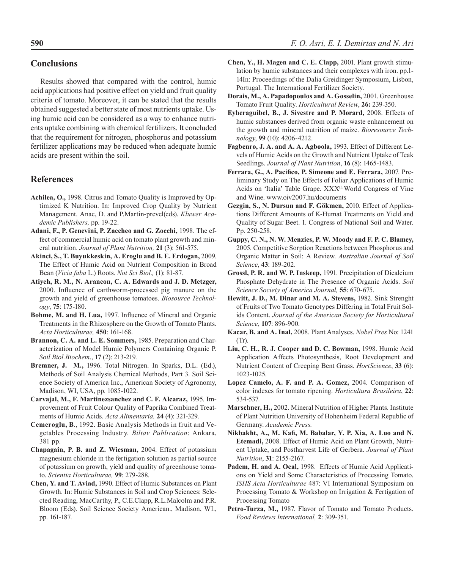### **Conclusions**

Results showed that compared with the control, humic acid applications had positive effect on yield and fruit quality criteria of tomato. Moreover, it can be stated that the results obtained suggested a better state of most nutrients uptake. Using humic acid can be considered as a way to enhance nutrients uptake combining with chemical fertilizers. It concluded that the requirement for nitrogen, phosphorus and potassium fertilizer applications may be reduced when adequate humic acids are present within the soil.

## **References**

- **Achilea, O.,** 1998. Citrus and Tomato Quality is Improved by Optimized K Nutrition. In: Improved Crop Quality by Nutrient Management. Anac, D. and P.Martin-prevel(eds). *Kluwer Academic Publishers,* pp. 19-22.
- **Adani, F., P. Genevini, P. Zaccheo and G. Zocchi,** 1998. The effect of commercial humic acid on tomato plant growth and mineral nutrition. *Journal of Plant Nutrition,* **21** (3): 561-575.
- **Akinci, S., T. Buyukkeskin, A. Eroglu and B. E. Erdogan,** 2009. The Effect of Humic Acid on Nutrient Composition in Broad Bean (*Vicia faba* L.) Roots. *Not Sci Biol.,* (1): 81-87.
- **Atiyeh, R. M., N. Arancon, C. A. Edwards and J. D. Metzger,**  2000. Influence of earthworm-processed pig manure on the growth and yield of greenhouse tomatoes. *Biosource Technology*, **75**: 175-180.
- **Bohme, M. and H. Lua,** 1997. Influence of Mineral and Organic Treatments in the Rhizosphere on the Growth of Tomato Plants. *Acta Horticulturae,* **450**: 161-168.
- **Brannon, C. A. and L. E. Sommers,** 1985. Preparation and Characterization of Model Humic Polymers Containing Organic P. *Soil Biol.Biochem*., **17** (2): 213-219.
- **Bremner, J. M.,** 1996. Total Nitrogen. In Sparks, D.L. (Ed.), Methods of Soil Analysis Chemical Methods, Part 3. Soil Science Society of America Inc., American Society of Agronomy, Madison, WI, USA, pp. 1085-1022.
- **Carvajal, M., F. Martinezsanchez and C. F. Alcaraz,** 1995. Improvement of Fruit Colour Quality of Paprika Combined Treatments of Humic Acids. *Acta Alimentaria,* **24** (4): 321-329.
- **Cemeroglu, B**., 1992. Basic Analysis Methods in fruit and Vegetables Processing Industry*. Biltav Publication*: Ankara, 381 pp.
- **Chapagain, P. B. and Z. Wiesman,** 2004. Effect of potassium magnesium chloride in the fertigation solution as partial source of potassium on growth, yield and quality of greenhouse tomato. *Scientia Horticulturae,* **99**: 279-288.
- **Chen, Y. and T. Aviad,** 1990. Effect of Humic Substances on Plant Growth. In: Humic Substances in Soil and Crop Sciences: Selected Reading, MacCarthy, P., C.E.Clapp, R.L.Malcolm and P.R. Bloom (Eds). Soil Science Society American., Madison, WI., pp. 161-187.
- **Chen, Y., H. Magen and C. E. Clapp,** 2001. Plant growth stimulation by humic substances and their complexes with iron. pp.1- 14In: Proceedings of the Dalia Greidinger Symposium, Lisbon, Portugal. The International Fertilizer Society.
- **Dorais, M., A. Papadopoulos and A. Gosselin,** 2001. Greenhouse Tomato Fruit Quality. *Horticultural Review*, **26:** 239-350.
- **Eyheraguibel, B., J. Sivestre and P. Morard,** 2008. Effects of humic substances derived from organic waste enhancement on the growth and mineral nutrition of maize. *Bioresource Technology*, **99** (10): 4206-4212.
- **Fagbenro, J. A. and A. A. Agboola,** 1993. Effect of Different Levels of Humic Acids on the Growth and Nutrient Uptake of Teak Seedlings. *Journal of Plant Nutrition*, **16** (8): 1465-1483.
- **Ferrara, G., A. Pacifico, P. Simeone and E. Ferrara,** 2007. Preliminary Study on The Effects of Foliar Applications of Humic Acids on 'Italia' Table Grape. XXX<sup>th</sup> World Congress of Vine and Wine. www.oiv2007.hu/documents
- **Gezgin, S., N. Dursun and F. Gökmen,** 2010. Effect of Applications Different Amounts of K-Humat Treatments on Yield and Quality of Sugar Beet. 1. Congress of National Soil and Water. Pp. 250-258.
- **Guppy, C. N., N. W. Menzies, P. W. Moody and F. P. C. Blamey,**  2005. Competitive Sorption Reactions between Phosphorus and Organic Matter in Soil: A Review. *Australian Journal of Soil Science*, **43**: 189-202.
- **Grossl, P. R. and W. P. Inskeep,** 1991. Precipitation of Dicalcium Phosphate Dehydrate in The Presence of Organic Acids. *Soil Science Society of America Journal,* **55**: 670-675.
- **Hewitt, J. D., M. Dinar and M. A. Stevens,** 1982. Sink Strenght of Fruits of Two Tomato Genotypes Differing in Total Fruit Solids Content. *Journal of the American Society for Horticultural Science,* **107**: 896-900.
- **Kacar, B. and A. Inal,** 2008. Plant Analyses. *Nobel Pres* No: 1241  $(Tr)$ .
- **Liu, C. H., R. J. Cooper and D. C. Bowman,** 1998. Humic Acid Application Affects Photosynthesis, Root Development and Nutrient Content of Creeping Bent Grass. *HortScience*, **33** (6): 1023-1025.
- **Lopez Camelo, A. F. and P. A. Gomez,** 2004. Comparison of color indexes for tomato ripening. *Horticultura Brasileira*, **22**: 534-537.
- **Marschner, H.,** 2002. Mineral Nutrition of Higher Plants. Institute of Plant Nutrition University of Hohenheim Federal Republic of Germany. *Academic Press.*
- **Nikbakht, A., M. Kafi, M. Babalar, Y. P. Xia, A. Luo and N. Etemadi,** 2008. Effect of Humic Acid on Plant Growth, Nutrient Uptake, and Postharvest Life of Gerbera. *Journal of Plant Nutrition*, **31**: 2155-2167.
- **Padem, H. and A. Ocal,** 1998. Effects of Humic Acid Applications on Yield and Some Characteristics of Processing Tomato. *ISHS Acta Horticulturae* 487: VI International Symposium on Processing Tomato & Workshop on Irrigation & Fertigation of Processing Tomato
- Petro-Turza, M., 1987. Flavor of Tomato and Tomato Products. *Food Reviews International,* **2**: 309-351.